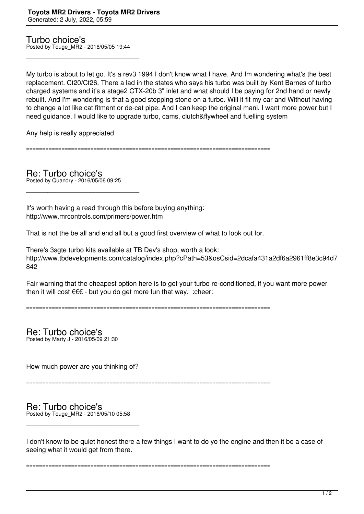Turbo choice's Posted by Touge\_MR2 - 2016/05/05 19:44

\_\_\_\_\_\_\_\_\_\_\_\_\_\_\_\_\_\_\_\_\_\_\_\_\_\_\_\_\_\_\_\_\_\_\_\_\_

My turbo is about to let go. It's a rev3 1994 I don't know what I have. And Im wondering what's the best replacement. Ct20/Ct26. There a lad in the states who says his turbo was built by Kent Barnes of turbo charged systems and it's a stage2 CTX-20b 3" inlet and what should I be paying for 2nd hand or newly rebuilt. And I'm wondering is that a good stepping stone on a turbo. Will it fit my car and Without having to change a lot like cat fitment or de-cat pipe. And I can keep the original mani. I want more power but I need guidance. I would like to upgrade turbo, cams, clutch&flywheel and fuelling system

Any help is really appreciated

============================================================================

Re: Turbo choice's Posted by Quandry - 2016/05/06 09:25

\_\_\_\_\_\_\_\_\_\_\_\_\_\_\_\_\_\_\_\_\_\_\_\_\_\_\_\_\_\_\_\_\_\_\_\_\_

It's worth having a read through this before buying anything: http://www.mrcontrols.com/primers/power.htm

That is not the be all and end all but a good first overview of what to look out for.

There's 3sgte turbo kits available at TB Dev's shop, worth a look: http://www.tbdevelopments.com/catalog/index.php?cPath=53&osCsid=2dcafa431a2df6a2961ff8e3c94d7 842

Fair warning that the cheapest option here is to get your turbo re-conditioned, if you want more power then it will cost  $\epsilon \in \epsilon$  - but you do get more fun that way. : cheer:

============================================================================

Re: Turbo choice's Posted by Marty J - 2016/05/09 21:30

How much power are you thinking of?

\_\_\_\_\_\_\_\_\_\_\_\_\_\_\_\_\_\_\_\_\_\_\_\_\_\_\_\_\_\_\_\_\_\_\_\_\_

============================================================================

## Re: Turbo choice's Posted by Touge\_MR2 - 2016/05/10 05:58

\_\_\_\_\_\_\_\_\_\_\_\_\_\_\_\_\_\_\_\_\_\_\_\_\_\_\_\_\_\_\_\_\_\_\_\_\_

I don't know to be quiet honest there a few things I want to do yo the engine and then it be a case of seeing what it would get from there.

============================================================================